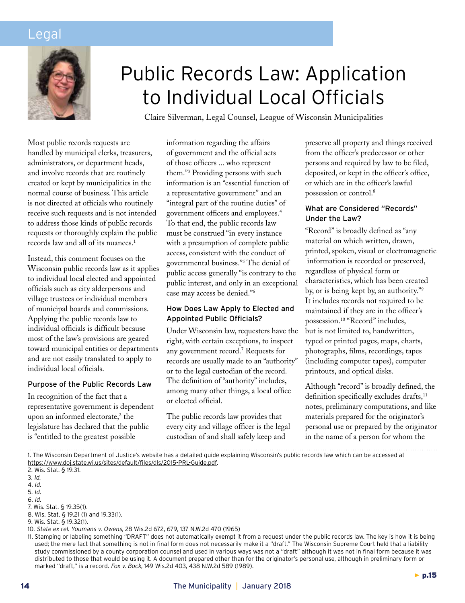# Legal



# Public Records Law: Application to Individual Local Officials

Claire Silverman, Legal Counsel, League of Wisconsin Municipalities

Most public records requests are handled by municipal clerks, treasurers, administrators, or department heads, and involve records that are routinely created or kept by municipalities in the normal course of business. This article is not directed at officials who routinely receive such requests and is not intended to address those kinds of public records requests or thoroughly explain the public records law and all of its nuances.<sup>1</sup>

Instead, this comment focuses on the Wisconsin public records law as it applies to individual local elected and appointed officials such as city alderpersons and village trustees or individual members of municipal boards and commissions. Applying the public records law to individual officials is difficult because most of the law's provisions are geared toward municipal entities or departments and are not easily translated to apply to individual local officials.

## Purpose of the Public Records Law

In recognition of the fact that a representative government is dependent upon an informed electorate,<sup>2</sup> the legislature has declared that the public is "entitled to the greatest possible

information regarding the affairs of government and the official acts of those officers ... who represent them."3 Providing persons with such information is an "essential function of a representative government" and an "integral part of the routine duties" of government officers and employees.4 To that end, the public records law must be construed "in every instance with a presumption of complete public access, consistent with the conduct of governmental business."5 The denial of public access generally "is contrary to the public interest, and only in an exceptional case may access be denied."6

# How Does Law Apply to Elected and Appointed Public Officials?

Under Wisconsin law, requesters have the right, with certain exceptions, to inspect any government record.7 Requests for records are usually made to an "authority" or to the legal custodian of the record. The definition of "authority" includes, among many other things, a local office or elected official.

The public records law provides that every city and village officer is the legal custodian of and shall safely keep and

preserve all property and things received from the officer's predecessor or other persons and required by law to be filed, deposited, or kept in the officer's office, or which are in the officer's lawful possession or control.8

# What are Considered "Records" Under the Law?

"Record" is broadly defined as "any material on which written, drawn, printed, spoken, visual or electromagnetic information is recorded or preserved, regardless of physical form or characteristics, which has been created by, or is being kept by, an authority."9 It includes records not required to be maintained if they are in the officer's possession.10 "Record" includes, but is not limited to, handwritten, typed or printed pages, maps, charts, photographs, films, recordings, tapes (including computer tapes), computer printouts, and optical disks.

Although "record" is broadly defined, the definition specifically excludes drafts,<sup>11</sup> notes, preliminary computations, and like materials prepared for the originator's personal use or prepared by the originator in the name of a person for whom the

1. The Wisconsin Department of Justice's website has a detailed guide explaining Wisconsin's public records law which can be accessed at https://www.doj.state.wi.us/sites/default/files/dls/2015-PRL-Guide.pdf.

2. Wis. Stat. § 19.31.

5. Id.

11. Stamping or labeling something "DRAFT" does not automatically exempt it from a request under the public records law. The key is how it is being used; the mere fact that something is not in final form does not necessarily make it a "draft." The Wisconsin Supreme Court held that a liability study commissioned by a county corporation counsel and used in various ways was not a "draft" although it was not in final form because it was distributed to those that would be using it. A document prepared other than for the originator's personal use, although in preliminary form or marked "draft," is a record. Fox v. Bock, 149 Wis.2d 403, 438 N.W.2d 589 (1989).

<sup>3.</sup> Id.

<sup>4.</sup> Id.

<sup>6.</sup> Id.

<sup>7.</sup> Wis. Stat. § 19.35(1).

<sup>8.</sup> Wis. Stat. § 19.21 (1) and 19.33(1).

<sup>9.</sup> Wis. Stat. § 19.32(1).

<sup>10.</sup> State ex rel. Youmans v. Owens, 28 Wis.2d 672, 679, 137 N.W.2d 470 (1965)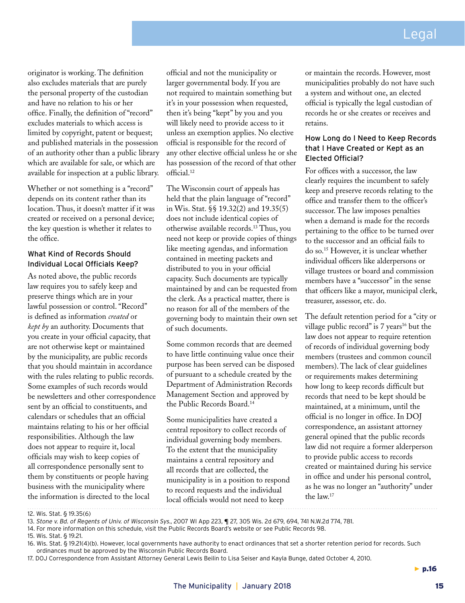originator is working. The definition also excludes materials that are purely the personal property of the custodian and have no relation to his or her office. Finally, the definition of "record" excludes materials to which access is limited by copyright, patent or bequest; and published materials in the possession of an authority other than a public library which are available for sale, or which are available for inspection at a public library.

Whether or not something is a "record" depends on its content rather than its location. Thus, it doesn't matter if it was created or received on a personal device; the key question is whether it relates to the office.

# What Kind of Records Should Individual Local Officials Keep?

As noted above, the public records law requires you to safely keep and preserve things which are in your lawful possession or control. "Record" is defined as information *created* or *kept by* an authority. Documents that you create in your official capacity, that are not otherwise kept or maintained by the municipality, are public records that you should maintain in accordance with the rules relating to public records. Some examples of such records would be newsletters and other correspondence sent by an official to constituents, and calendars or schedules that an official maintains relating to his or her official responsibilities. Although the law does not appear to require it, local officials may wish to keep copies of all correspondence personally sent to them by constituents or people having business with the municipality where the information is directed to the local

official and not the municipality or larger governmental body. If you are not required to maintain something but it's in your possession when requested, then it's being "kept" by you and you will likely need to provide access to it unless an exemption applies. No elective official is responsible for the record of any other elective official unless he or she has possession of the record of that other official.12

The Wisconsin court of appeals has held that the plain language of "record" in Wis. Stat. §§ 19.32(2) and 19.35(5) does not include identical copies of otherwise available records.13 Thus, you need not keep or provide copies of things like meeting agendas, and information contained in meeting packets and distributed to you in your official capacity. Such documents are typically maintained by and can be requested from the clerk. As a practical matter, there is no reason for all of the members of the governing body to maintain their own set of such documents.

Some common records that are deemed to have little continuing value once their purpose has been served can be disposed of pursuant to a schedule created by the Department of Administration Records Management Section and approved by the Public Records Board.14

Some municipalities have created a central repository to collect records of individual governing body members. To the extent that the municipality maintains a central repository and all records that are collected, the municipality is in a position to respond to record requests and the individual local officials would not need to keep

or maintain the records. However, most municipalities probably do not have such a system and without one, an elected official is typically the legal custodian of records he or she creates or receives and retains.

# How Long do I Need to Keep Records that I Have Created or Kept as an Elected Official?

For offices with a successor, the law clearly requires the incumbent to safely keep and preserve records relating to the office and transfer them to the officer's successor. The law imposes penalties when a demand is made for the records pertaining to the office to be turned over to the successor and an official fails to do so.15 However, it is unclear whether individual officers like alderpersons or village trustees or board and commission members have a "successor" in the sense that officers like a mayor, municipal clerk, treasurer, assessor, etc. do.

The default retention period for a "city or village public record" is  $7$  years<sup>16</sup> but the law does not appear to require retention of records of individual governing body members (trustees and common council members). The lack of clear guidelines or requirements makes determining how long to keep records difficult but records that need to be kept should be maintained, at a minimum, until the official is no longer in office. In DOJ correspondence, an assistant attorney general opined that the public records law did not require a former alderperson to provide public access to records created or maintained during his service in office and under his personal control, as he was no longer an "authority" under the law.17

12. Wis. Stat. § 19.35(6)

13. Stone v. Bd. of Regents of Univ. of Wisconsin Sys., 2007 WI App 223, ¶ 27, 305 Wis. 2d 679, 694, 741 N.W.2d 774, 781.

- 14. For more information on this schedule, visit the Public Records Board's website or see Public Records 98.
- 15. Wis. Stat. § 19.21.

16. Wis. Stat. § 19.21(4)(b). However, local governments have authority to enact ordinances that set a shorter retention period for records. Such ordinances must be approved by the Wisconsin Public Records Board.

17. DOJ Correspondence from Assistant Attorney General Lewis Beilin to Lisa Seiser and Kayla Bunge, dated October 4, 2010.

 $\blacktriangleright$  p.16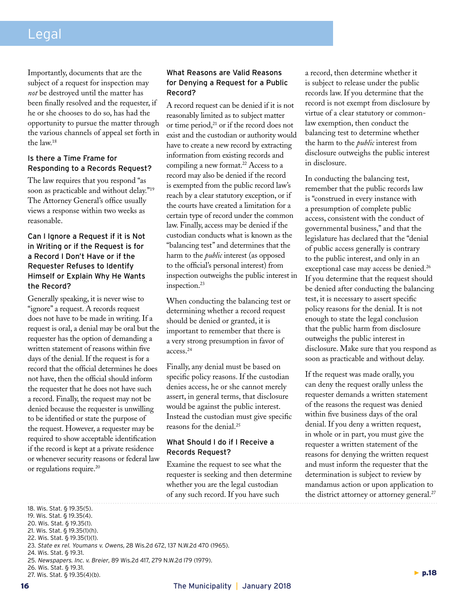# Legal

Importantly, documents that are the subject of a request for inspection may *not* be destroyed until the matter has been finally resolved and the requester, if he or she chooses to do so, has had the opportunity to pursue the matter through the various channels of appeal set forth in the law.18

#### Is there a Time Frame for Responding to a Records Request?

The law requires that you respond "as soon as practicable and without delay."19 The Attorney General's office usually views a response within two weeks as reasonable.

# Can I Ignore a Request if it is Not in Writing or if the Request is for a Record I Don't Have or if the Requester Refuses to Identify Himself or Explain Why He Wants the Record?

Generally speaking, it is never wise to "ignore" a request. A records request does not have to be made in writing. If a request is oral, a denial may be oral but the requester has the option of demanding a written statement of reasons within five days of the denial. If the request is for a record that the official determines he does not have, then the official should inform the requester that he does not have such a record. Finally, the request may not be denied because the requester is unwilling to be identified or state the purpose of the request. However, a requester may be required to show acceptable identification if the record is kept at a private residence or whenever security reasons or federal law or regulations require.20

## What Reasons are Valid Reasons for Denying a Request for a Public Record?

A record request can be denied if it is not reasonably limited as to subject matter or time period, $^{21}$  or if the record does not exist and the custodian or authority would have to create a new record by extracting information from existing records and compiling a new format.<sup>22</sup> Access to a record may also be denied if the record is exempted from the public record law's reach by a clear statutory exception, or if the courts have created a limitation for a certain type of record under the common law. Finally, access may be denied if the custodian conducts what is known as the "balancing test" and determines that the harm to the *public* interest (as opposed to the official's personal interest) from inspection outweighs the public interest in inspection.23

When conducting the balancing test or determining whether a record request should be denied or granted, it is important to remember that there is a very strong presumption in favor of access.24

Finally, any denial must be based on specific policy reasons. If the custodian denies access, he or she cannot merely assert, in general terms, that disclosure would be against the public interest. Instead the custodian must give specific reasons for the denial.25

# What Should I do if I Receive a Records Request?

Examine the request to see what the requester is seeking and then determine whether you are the legal custodian of any such record. If you have such

a record, then determine whether it is subject to release under the public records law. If you determine that the record is not exempt from disclosure by virtue of a clear statutory or commonlaw exemption, then conduct the balancing test to determine whether the harm to the *public* interest from disclosure outweighs the public interest in disclosure.

In conducting the balancing test, remember that the public records law is "construed in every instance with a presumption of complete public access, consistent with the conduct of governmental business," and that the legislature has declared that the "denial of public access generally is contrary to the public interest, and only in an exceptional case may access be denied.<sup>26</sup> If you determine that the request should be denied after conducting the balancing test, it is necessary to assert specific policy reasons for the denial. It is not enough to state the legal conclusion that the public harm from disclosure outweighs the public interest in disclosure. Make sure that you respond as soon as practicable and without delay.

If the request was made orally, you can deny the request orally unless the requester demands a written statement of the reasons the request was denied within five business days of the oral denial. If you deny a written request, in whole or in part, you must give the requester a written statement of the reasons for denying the written request and must inform the requester that the determination is subject to review by mandamus action or upon application to the district attorney or attorney general.<sup>27</sup>

<sup>18.</sup> Wis. Stat. § 19.35(5). 19. Wis. Stat. § 19.35(4). 20. Wis. Stat. § 19.35(1). 21. Wis. Stat. § 19.35(1)(h). 22. Wis. Stat. § 19.35(1)(1).

<sup>23.</sup> State ex rel. Youmans v. Owens, 28 Wis.2d 672, 137 N.W.2d 470 (1965).

<sup>24.</sup> Wis. Stat. § 19.31.

<sup>25.</sup> Newspapers. Inc. v. Breier, 89 Wis.2d 417, 279 N.W.2d l79 (1979).

<sup>26.</sup> Wis. Stat. § 19.31. 27. Wis. Stat. § 19.35(4)(b).